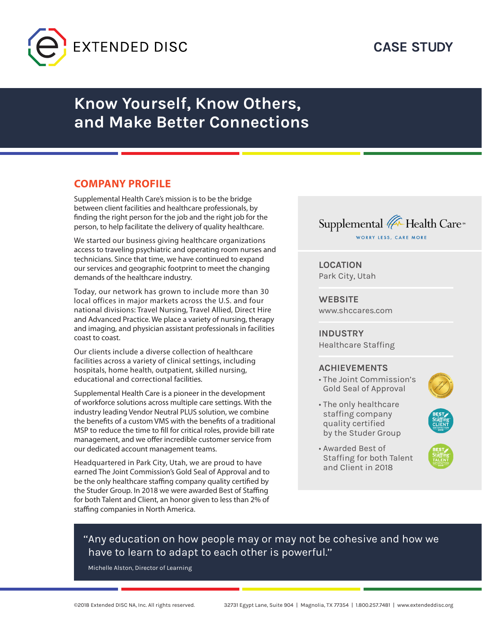

# **CASE STUDY**

# **Know Yourself, Know Others, and Make Better Connections**

## **COMPANY PROFILE**

Supplemental Health Care's mission is to be the bridge between client facilities and healthcare professionals, by finding the right person for the job and the right job for the person, to help facilitate the delivery of quality healthcare.

We started our business giving healthcare organizations access to traveling psychiatric and operating room nurses and technicians. Since that time, we have continued to expand our services and geographic footprint to meet the changing demands of the healthcare industry.

Today, our network has grown to include more than 30 local offices in major markets across the U.S. and four national divisions: Travel Nursing, Travel Allied, Direct Hire and Advanced Practice. We place a variety of nursing, therapy and imaging, and physician assistant professionals in facilities coast to coast.

Our clients include a diverse collection of healthcare facilities across a variety of clinical settings, including hospitals, home health, outpatient, skilled nursing, educational and correctional facilities.

Supplemental Health Care is a pioneer in the development of workforce solutions across multiple care settings. With the industry leading Vendor Neutral PLUS solution, we combine the benefits of a custom VMS with the benefits of a traditional MSP to reduce the time to fill for critical roles, provide bill rate management, and we offer incredible customer service from our dedicated account management teams.

Headquartered in Park City, Utah, we are proud to have earned The Joint Commission's Gold Seal of Approval and to be the only healthcare staffing company quality certified by the Studer Group. In 2018 we were awarded Best of Staffing for both Talent and Client, an honor given to less than 2% of staffing companies in North America.



**LOCATION** Park City, Utah

**WEBSITE** [www.](http://www.wmchealth.org)shccares.com

**INDUSTRY** Healthcare Staffing

#### **ACHIEVEMENTS**

• The Joint Commission's Gold Seal of Approval



- The only healthcare staffing company quality certified by the Studer Group
- Awarded Best of Staffing for both Talent and Client in 2018



# ''Any education on how people may or may not be cohesive and how we have to learn to adapt to each other is powerful.''

Michelle Alston, Director of Learning